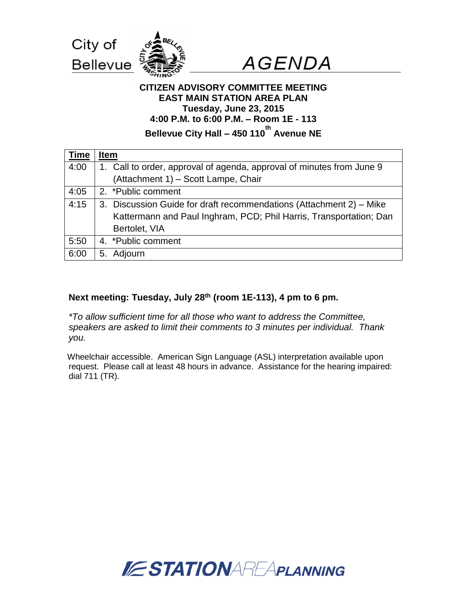



### **CITIZEN ADVISORY COMMITTEE MEETING EAST MAIN STATION AREA PLAN Tuesday, June 23, 2015 4:00 P.M. to 6:00 P.M. – Room 1E - 113 Bellevue City Hall – 450 110 th Avenue NE**

| <b>Time</b> | Item                                                                  |
|-------------|-----------------------------------------------------------------------|
| 4:00        | 1. Call to order, approval of agenda, approval of minutes from June 9 |
|             | (Attachment 1) - Scott Lampe, Chair                                   |
| 4:05        | 2. *Public comment                                                    |
| 4:15        | 3. Discussion Guide for draft recommendations (Attachment 2) – Mike   |
|             | Kattermann and Paul Inghram, PCD; Phil Harris, Transportation; Dan    |
|             | Bertolet, VIA                                                         |
| 5:50        | 4. *Public comment                                                    |
| 6:00        | Adjourn<br>5.                                                         |

### **Next meeting: Tuesday, July 28th (room 1E-113), 4 pm to 6 pm.**

*\*To allow sufficient time for all those who want to address the Committee, speakers are asked to limit their comments to 3 minutes per individual. Thank you.*

Wheelchair accessible. American Sign Language (ASL) interpretation available upon request. Please call at least 48 hours in advance. Assistance for the hearing impaired: dial 711 (TR).

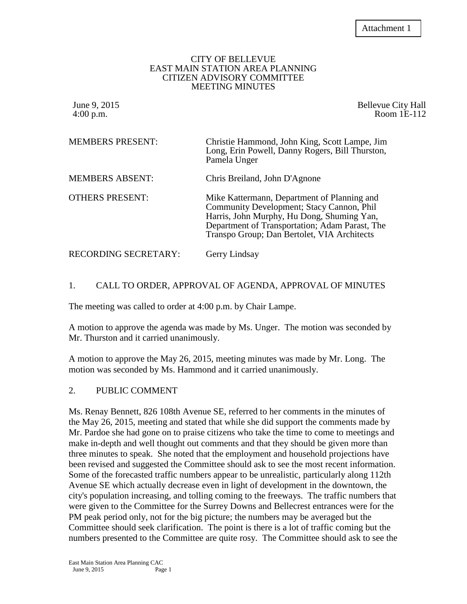#### CITY OF BELLEVUE EAST MAIN STATION AREA PLANNING CITIZEN ADVISORY COMMITTEE MEETING MINUTES

June 9, 2015 **Bellevue City Hall** 4:00 p.m. Room 1E-112

| <b>MEMBERS PRESENT:</b> | Christie Hammond, John King, Scott Lampe, Jim<br>Long, Erin Powell, Danny Rogers, Bill Thurston,<br>Pamela Unger                                                                                                                        |
|-------------------------|-----------------------------------------------------------------------------------------------------------------------------------------------------------------------------------------------------------------------------------------|
| <b>MEMBERS ABSENT:</b>  | Chris Breiland, John D'Agnone                                                                                                                                                                                                           |
| <b>OTHERS PRESENT:</b>  | Mike Kattermann, Department of Planning and<br>Community Development; Stacy Cannon, Phil<br>Harris, John Murphy, Hu Dong, Shuming Yan,<br>Department of Transportation; Adam Parast, The<br>Transpo Group; Dan Bertolet, VIA Architects |
| RECORDING SECRETARY:    | Gerry Lindsay                                                                                                                                                                                                                           |

### 1. CALL TO ORDER, APPROVAL OF AGENDA, APPROVAL OF MINUTES

The meeting was called to order at 4:00 p.m. by Chair Lampe.

A motion to approve the agenda was made by Ms. Unger. The motion was seconded by Mr. Thurston and it carried unanimously.

A motion to approve the May 26, 2015, meeting minutes was made by Mr. Long. The motion was seconded by Ms. Hammond and it carried unanimously.

#### 2. PUBLIC COMMENT

Ms. Renay Bennett, 826 108th Avenue SE, referred to her comments in the minutes of the May 26, 2015, meeting and stated that while she did support the comments made by Mr. Pardoe she had gone on to praise citizens who take the time to come to meetings and make in-depth and well thought out comments and that they should be given more than three minutes to speak. She noted that the employment and household projections have been revised and suggested the Committee should ask to see the most recent information. Some of the forecasted traffic numbers appear to be unrealistic, particularly along 112th Avenue SE which actually decrease even in light of development in the downtown, the city's population increasing, and tolling coming to the freeways. The traffic numbers that were given to the Committee for the Surrey Downs and Bellecrest entrances were for the PM peak period only, not for the big picture; the numbers may be averaged but the Committee should seek clarification. The point is there is a lot of traffic coming but the numbers presented to the Committee are quite rosy. The Committee should ask to see the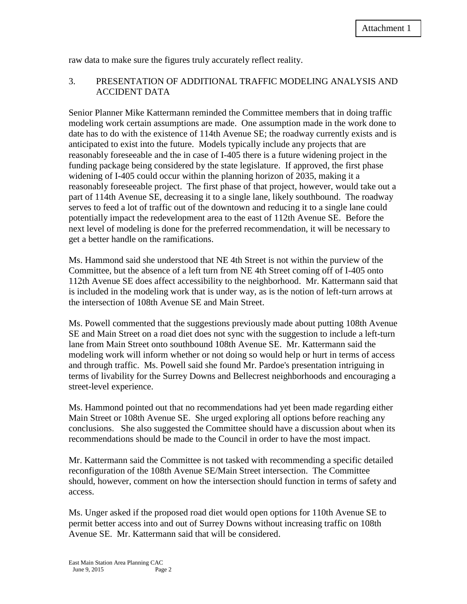raw data to make sure the figures truly accurately reflect reality.

### 3. PRESENTATION OF ADDITIONAL TRAFFIC MODELING ANALYSIS AND ACCIDENT DATA

Senior Planner Mike Kattermann reminded the Committee members that in doing traffic modeling work certain assumptions are made. One assumption made in the work done to date has to do with the existence of 114th Avenue SE; the roadway currently exists and is anticipated to exist into the future. Models typically include any projects that are reasonably foreseeable and the in case of I-405 there is a future widening project in the funding package being considered by the state legislature. If approved, the first phase widening of I-405 could occur within the planning horizon of 2035, making it a reasonably foreseeable project. The first phase of that project, however, would take out a part of 114th Avenue SE, decreasing it to a single lane, likely southbound. The roadway serves to feed a lot of traffic out of the downtown and reducing it to a single lane could potentially impact the redevelopment area to the east of 112th Avenue SE. Before the next level of modeling is done for the preferred recommendation, it will be necessary to get a better handle on the ramifications.

Ms. Hammond said she understood that NE 4th Street is not within the purview of the Committee, but the absence of a left turn from NE 4th Street coming off of I-405 onto 112th Avenue SE does affect accessibility to the neighborhood. Mr. Kattermann said that is included in the modeling work that is under way, as is the notion of left-turn arrows at the intersection of 108th Avenue SE and Main Street.

Ms. Powell commented that the suggestions previously made about putting 108th Avenue SE and Main Street on a road diet does not sync with the suggestion to include a left-turn lane from Main Street onto southbound 108th Avenue SE. Mr. Kattermann said the modeling work will inform whether or not doing so would help or hurt in terms of access and through traffic. Ms. Powell said she found Mr. Pardoe's presentation intriguing in terms of livability for the Surrey Downs and Bellecrest neighborhoods and encouraging a street-level experience.

Ms. Hammond pointed out that no recommendations had yet been made regarding either Main Street or 108th Avenue SE. She urged exploring all options before reaching any conclusions. She also suggested the Committee should have a discussion about when its recommendations should be made to the Council in order to have the most impact.

Mr. Kattermann said the Committee is not tasked with recommending a specific detailed reconfiguration of the 108th Avenue SE/Main Street intersection. The Committee should, however, comment on how the intersection should function in terms of safety and access.

Ms. Unger asked if the proposed road diet would open options for 110th Avenue SE to permit better access into and out of Surrey Downs without increasing traffic on 108th Avenue SE. Mr. Kattermann said that will be considered.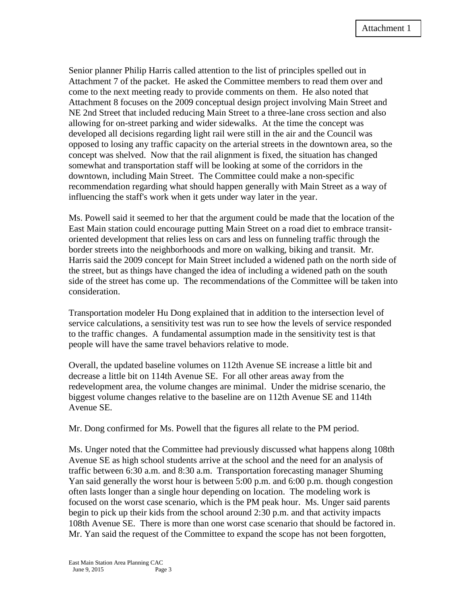Senior planner Philip Harris called attention to the list of principles spelled out in Attachment 7 of the packet. He asked the Committee members to read them over and come to the next meeting ready to provide comments on them. He also noted that Attachment 8 focuses on the 2009 conceptual design project involving Main Street and NE 2nd Street that included reducing Main Street to a three-lane cross section and also allowing for on-street parking and wider sidewalks. At the time the concept was developed all decisions regarding light rail were still in the air and the Council was opposed to losing any traffic capacity on the arterial streets in the downtown area, so the concept was shelved. Now that the rail alignment is fixed, the situation has changed somewhat and transportation staff will be looking at some of the corridors in the downtown, including Main Street. The Committee could make a non-specific recommendation regarding what should happen generally with Main Street as a way of influencing the staff's work when it gets under way later in the year.

Ms. Powell said it seemed to her that the argument could be made that the location of the East Main station could encourage putting Main Street on a road diet to embrace transitoriented development that relies less on cars and less on funneling traffic through the border streets into the neighborhoods and more on walking, biking and transit. Mr. Harris said the 2009 concept for Main Street included a widened path on the north side of the street, but as things have changed the idea of including a widened path on the south side of the street has come up. The recommendations of the Committee will be taken into consideration.

Transportation modeler Hu Dong explained that in addition to the intersection level of service calculations, a sensitivity test was run to see how the levels of service responded to the traffic changes. A fundamental assumption made in the sensitivity test is that people will have the same travel behaviors relative to mode.

Overall, the updated baseline volumes on 112th Avenue SE increase a little bit and decrease a little bit on 114th Avenue SE. For all other areas away from the redevelopment area, the volume changes are minimal. Under the midrise scenario, the biggest volume changes relative to the baseline are on 112th Avenue SE and 114th Avenue SE.

Mr. Dong confirmed for Ms. Powell that the figures all relate to the PM period.

Ms. Unger noted that the Committee had previously discussed what happens along 108th Avenue SE as high school students arrive at the school and the need for an analysis of traffic between 6:30 a.m. and 8:30 a.m. Transportation forecasting manager Shuming Yan said generally the worst hour is between 5:00 p.m. and 6:00 p.m. though congestion often lasts longer than a single hour depending on location. The modeling work is focused on the worst case scenario, which is the PM peak hour. Ms. Unger said parents begin to pick up their kids from the school around 2:30 p.m. and that activity impacts 108th Avenue SE. There is more than one worst case scenario that should be factored in. Mr. Yan said the request of the Committee to expand the scope has not been forgotten,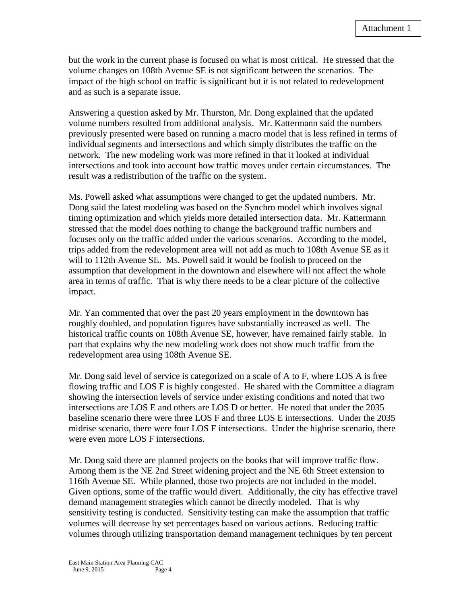but the work in the current phase is focused on what is most critical. He stressed that the volume changes on 108th Avenue SE is not significant between the scenarios. The impact of the high school on traffic is significant but it is not related to redevelopment and as such is a separate issue.

Answering a question asked by Mr. Thurston, Mr. Dong explained that the updated volume numbers resulted from additional analysis. Mr. Kattermann said the numbers previously presented were based on running a macro model that is less refined in terms of individual segments and intersections and which simply distributes the traffic on the network. The new modeling work was more refined in that it looked at individual intersections and took into account how traffic moves under certain circumstances. The result was a redistribution of the traffic on the system.

Ms. Powell asked what assumptions were changed to get the updated numbers. Mr. Dong said the latest modeling was based on the Synchro model which involves signal timing optimization and which yields more detailed intersection data. Mr. Kattermann stressed that the model does nothing to change the background traffic numbers and focuses only on the traffic added under the various scenarios. According to the model, trips added from the redevelopment area will not add as much to 108th Avenue SE as it will to 112th Avenue SE. Ms. Powell said it would be foolish to proceed on the assumption that development in the downtown and elsewhere will not affect the whole area in terms of traffic. That is why there needs to be a clear picture of the collective impact.

Mr. Yan commented that over the past 20 years employment in the downtown has roughly doubled, and population figures have substantially increased as well. The historical traffic counts on 108th Avenue SE, however, have remained fairly stable. In part that explains why the new modeling work does not show much traffic from the redevelopment area using 108th Avenue SE.

Mr. Dong said level of service is categorized on a scale of A to F, where LOS A is free flowing traffic and LOS F is highly congested. He shared with the Committee a diagram showing the intersection levels of service under existing conditions and noted that two intersections are LOS E and others are LOS D or better. He noted that under the 2035 baseline scenario there were three LOS F and three LOS E intersections. Under the 2035 midrise scenario, there were four LOS F intersections. Under the highrise scenario, there were even more LOS F intersections.

Mr. Dong said there are planned projects on the books that will improve traffic flow. Among them is the NE 2nd Street widening project and the NE 6th Street extension to 116th Avenue SE. While planned, those two projects are not included in the model. Given options, some of the traffic would divert. Additionally, the city has effective travel demand management strategies which cannot be directly modeled. That is why sensitivity testing is conducted. Sensitivity testing can make the assumption that traffic volumes will decrease by set percentages based on various actions. Reducing traffic volumes through utilizing transportation demand management techniques by ten percent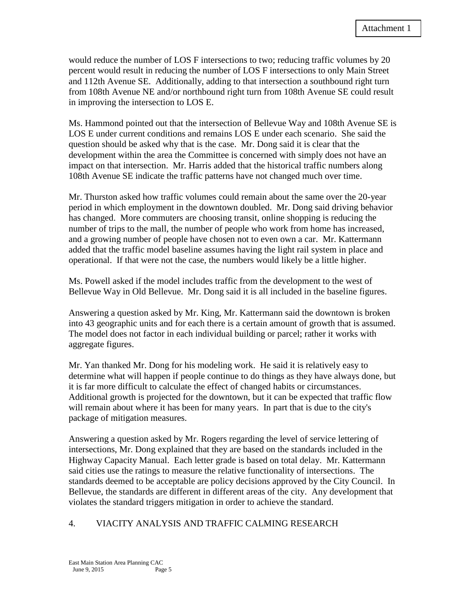would reduce the number of LOS F intersections to two; reducing traffic volumes by 20 percent would result in reducing the number of LOS F intersections to only Main Street and 112th Avenue SE. Additionally, adding to that intersection a southbound right turn from 108th Avenue NE and/or northbound right turn from 108th Avenue SE could result in improving the intersection to LOS E.

Ms. Hammond pointed out that the intersection of Bellevue Way and 108th Avenue SE is LOS E under current conditions and remains LOS E under each scenario. She said the question should be asked why that is the case. Mr. Dong said it is clear that the development within the area the Committee is concerned with simply does not have an impact on that intersection. Mr. Harris added that the historical traffic numbers along 108th Avenue SE indicate the traffic patterns have not changed much over time.

Mr. Thurston asked how traffic volumes could remain about the same over the 20-year period in which employment in the downtown doubled. Mr. Dong said driving behavior has changed. More commuters are choosing transit, online shopping is reducing the number of trips to the mall, the number of people who work from home has increased, and a growing number of people have chosen not to even own a car. Mr. Kattermann added that the traffic model baseline assumes having the light rail system in place and operational. If that were not the case, the numbers would likely be a little higher.

Ms. Powell asked if the model includes traffic from the development to the west of Bellevue Way in Old Bellevue. Mr. Dong said it is all included in the baseline figures.

Answering a question asked by Mr. King, Mr. Kattermann said the downtown is broken into 43 geographic units and for each there is a certain amount of growth that is assumed. The model does not factor in each individual building or parcel; rather it works with aggregate figures.

Mr. Yan thanked Mr. Dong for his modeling work. He said it is relatively easy to determine what will happen if people continue to do things as they have always done, but it is far more difficult to calculate the effect of changed habits or circumstances. Additional growth is projected for the downtown, but it can be expected that traffic flow will remain about where it has been for many years. In part that is due to the city's package of mitigation measures.

Answering a question asked by Mr. Rogers regarding the level of service lettering of intersections, Mr. Dong explained that they are based on the standards included in the Highway Capacity Manual. Each letter grade is based on total delay. Mr. Kattermann said cities use the ratings to measure the relative functionality of intersections. The standards deemed to be acceptable are policy decisions approved by the City Council. In Bellevue, the standards are different in different areas of the city. Any development that violates the standard triggers mitigation in order to achieve the standard.

#### 4. VIACITY ANALYSIS AND TRAFFIC CALMING RESEARCH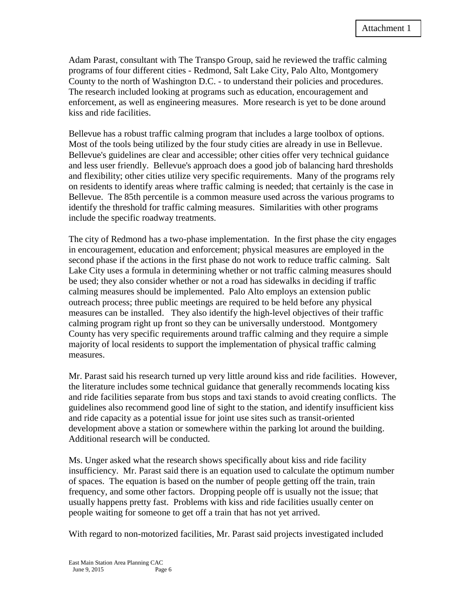Adam Parast, consultant with The Transpo Group, said he reviewed the traffic calming programs of four different cities - Redmond, Salt Lake City, Palo Alto, Montgomery County to the north of Washington D.C. - to understand their policies and procedures. The research included looking at programs such as education, encouragement and enforcement, as well as engineering measures. More research is yet to be done around kiss and ride facilities.

Bellevue has a robust traffic calming program that includes a large toolbox of options. Most of the tools being utilized by the four study cities are already in use in Bellevue. Bellevue's guidelines are clear and accessible; other cities offer very technical guidance and less user friendly. Bellevue's approach does a good job of balancing hard thresholds and flexibility; other cities utilize very specific requirements. Many of the programs rely on residents to identify areas where traffic calming is needed; that certainly is the case in Bellevue. The 85th percentile is a common measure used across the various programs to identify the threshold for traffic calming measures. Similarities with other programs include the specific roadway treatments.

The city of Redmond has a two-phase implementation. In the first phase the city engages in encouragement, education and enforcement; physical measures are employed in the second phase if the actions in the first phase do not work to reduce traffic calming. Salt Lake City uses a formula in determining whether or not traffic calming measures should be used; they also consider whether or not a road has sidewalks in deciding if traffic calming measures should be implemented. Palo Alto employs an extension public outreach process; three public meetings are required to be held before any physical measures can be installed. They also identify the high-level objectives of their traffic calming program right up front so they can be universally understood. Montgomery County has very specific requirements around traffic calming and they require a simple majority of local residents to support the implementation of physical traffic calming measures.

Mr. Parast said his research turned up very little around kiss and ride facilities. However, the literature includes some technical guidance that generally recommends locating kiss and ride facilities separate from bus stops and taxi stands to avoid creating conflicts. The guidelines also recommend good line of sight to the station, and identify insufficient kiss and ride capacity as a potential issue for joint use sites such as transit-oriented development above a station or somewhere within the parking lot around the building. Additional research will be conducted.

Ms. Unger asked what the research shows specifically about kiss and ride facility insufficiency. Mr. Parast said there is an equation used to calculate the optimum number of spaces. The equation is based on the number of people getting off the train, train frequency, and some other factors. Dropping people off is usually not the issue; that usually happens pretty fast. Problems with kiss and ride facilities usually center on people waiting for someone to get off a train that has not yet arrived.

With regard to non-motorized facilities, Mr. Parast said projects investigated included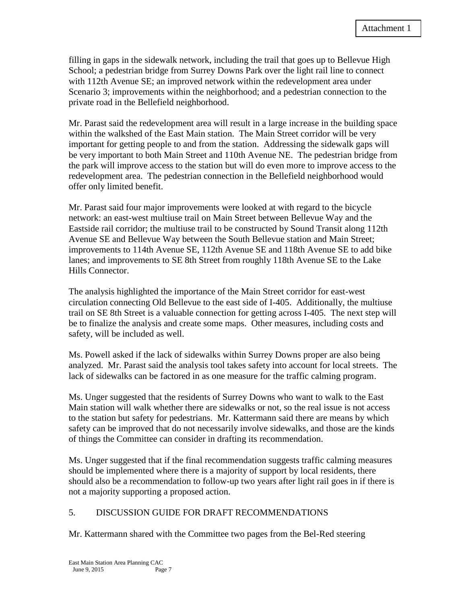filling in gaps in the sidewalk network, including the trail that goes up to Bellevue High School; a pedestrian bridge from Surrey Downs Park over the light rail line to connect with 112th Avenue SE; an improved network within the redevelopment area under Scenario 3; improvements within the neighborhood; and a pedestrian connection to the private road in the Bellefield neighborhood.

Mr. Parast said the redevelopment area will result in a large increase in the building space within the walkshed of the East Main station. The Main Street corridor will be very important for getting people to and from the station. Addressing the sidewalk gaps will be very important to both Main Street and 110th Avenue NE. The pedestrian bridge from the park will improve access to the station but will do even more to improve access to the redevelopment area. The pedestrian connection in the Bellefield neighborhood would offer only limited benefit.

Mr. Parast said four major improvements were looked at with regard to the bicycle network: an east-west multiuse trail on Main Street between Bellevue Way and the Eastside rail corridor; the multiuse trail to be constructed by Sound Transit along 112th Avenue SE and Bellevue Way between the South Bellevue station and Main Street; improvements to 114th Avenue SE, 112th Avenue SE and 118th Avenue SE to add bike lanes; and improvements to SE 8th Street from roughly 118th Avenue SE to the Lake Hills Connector.

The analysis highlighted the importance of the Main Street corridor for east-west circulation connecting Old Bellevue to the east side of I-405. Additionally, the multiuse trail on SE 8th Street is a valuable connection for getting across I-405. The next step will be to finalize the analysis and create some maps. Other measures, including costs and safety, will be included as well.

Ms. Powell asked if the lack of sidewalks within Surrey Downs proper are also being analyzed. Mr. Parast said the analysis tool takes safety into account for local streets. The lack of sidewalks can be factored in as one measure for the traffic calming program.

Ms. Unger suggested that the residents of Surrey Downs who want to walk to the East Main station will walk whether there are sidewalks or not, so the real issue is not access to the station but safety for pedestrians. Mr. Kattermann said there are means by which safety can be improved that do not necessarily involve sidewalks, and those are the kinds of things the Committee can consider in drafting its recommendation.

Ms. Unger suggested that if the final recommendation suggests traffic calming measures should be implemented where there is a majority of support by local residents, there should also be a recommendation to follow-up two years after light rail goes in if there is not a majority supporting a proposed action.

#### 5. DISCUSSION GUIDE FOR DRAFT RECOMMENDATIONS

Mr. Kattermann shared with the Committee two pages from the Bel-Red steering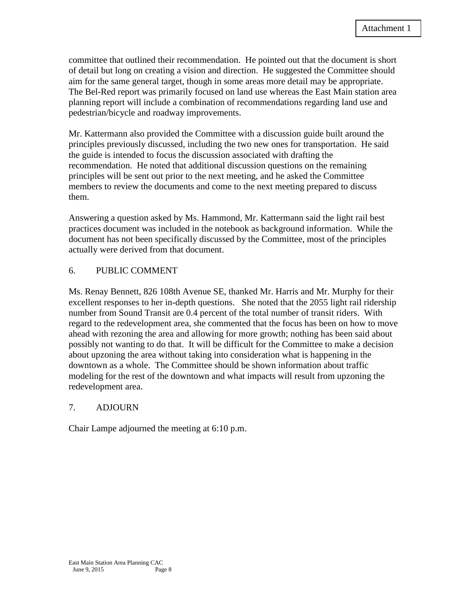committee that outlined their recommendation. He pointed out that the document is short of detail but long on creating a vision and direction. He suggested the Committee should aim for the same general target, though in some areas more detail may be appropriate. The Bel-Red report was primarily focused on land use whereas the East Main station area planning report will include a combination of recommendations regarding land use and pedestrian/bicycle and roadway improvements.

Mr. Kattermann also provided the Committee with a discussion guide built around the principles previously discussed, including the two new ones for transportation. He said the guide is intended to focus the discussion associated with drafting the recommendation. He noted that additional discussion questions on the remaining principles will be sent out prior to the next meeting, and he asked the Committee members to review the documents and come to the next meeting prepared to discuss them.

Answering a question asked by Ms. Hammond, Mr. Kattermann said the light rail best practices document was included in the notebook as background information. While the document has not been specifically discussed by the Committee, most of the principles actually were derived from that document.

#### 6. PUBLIC COMMENT

Ms. Renay Bennett, 826 108th Avenue SE, thanked Mr. Harris and Mr. Murphy for their excellent responses to her in-depth questions. She noted that the 2055 light rail ridership number from Sound Transit are 0.4 percent of the total number of transit riders. With regard to the redevelopment area, she commented that the focus has been on how to move ahead with rezoning the area and allowing for more growth; nothing has been said about possibly not wanting to do that. It will be difficult for the Committee to make a decision about upzoning the area without taking into consideration what is happening in the downtown as a whole. The Committee should be shown information about traffic modeling for the rest of the downtown and what impacts will result from upzoning the redevelopment area.

#### 7. ADJOURN

Chair Lampe adjourned the meeting at 6:10 p.m.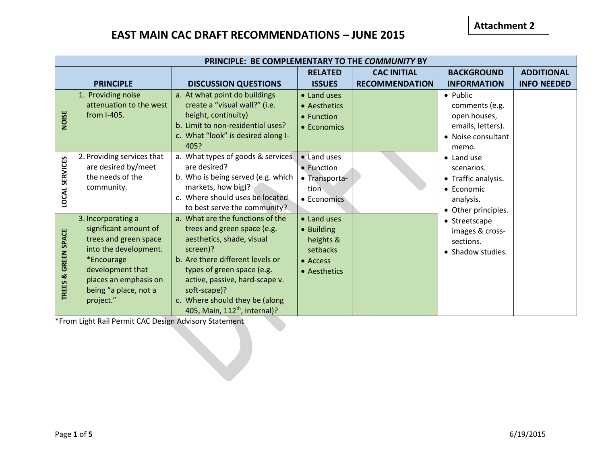# **EAST MAIN CAC DRAFT RECOMMENDATIONS – JUNE 2015**

|                                          | PRINCIPLE: BE COMPLEMENTARY TO THE COMMUNITY BY                                                                                                                                                |                                                                                                                                                                                                                                                                                                             |                                                                                |                                             |                                                                                                                                                                                                                                                                           |                                         |  |  |
|------------------------------------------|------------------------------------------------------------------------------------------------------------------------------------------------------------------------------------------------|-------------------------------------------------------------------------------------------------------------------------------------------------------------------------------------------------------------------------------------------------------------------------------------------------------------|--------------------------------------------------------------------------------|---------------------------------------------|---------------------------------------------------------------------------------------------------------------------------------------------------------------------------------------------------------------------------------------------------------------------------|-----------------------------------------|--|--|
|                                          | <b>PRINCIPLE</b>                                                                                                                                                                               | <b>DISCUSSION QUESTIONS</b>                                                                                                                                                                                                                                                                                 | <b>RELATED</b><br><b>ISSUES</b>                                                | <b>CAC INITIAL</b><br><b>RECOMMENDATION</b> | <b>BACKGROUND</b><br><b>INFORMATION</b>                                                                                                                                                                                                                                   | <b>ADDITIONAL</b><br><b>INFO NEEDED</b> |  |  |
| NOISE                                    | 1. Providing noise<br>attenuation to the west<br>from I-405.                                                                                                                                   | a. At what point do buildings<br>create a "visual wall?" (i.e.<br>height, continuity)<br>b. Limit to non-residential uses?<br>c. What "look" is desired along I-<br>405?                                                                                                                                    | • Land uses<br>• Aesthetics<br>• Function<br>• Economics                       |                                             | • Public<br>comments (e.g.<br>open houses,<br>emails, letters).<br>• Noise consultant<br>memo.<br>• Land use<br>scenarios.<br>• Traffic analysis.<br>• Economic<br>analysis.<br>• Other principles.<br>• Streetscape<br>images & cross-<br>sections.<br>• Shadow studies. |                                         |  |  |
| <b>SERVICES</b><br><b>LOCAL</b>          | 2. Providing services that<br>are desired by/meet<br>the needs of the<br>community.                                                                                                            | a. What types of goods & services<br>are desired?<br>b. Who is being served (e.g. which<br>markets, how big)?<br>c. Where should uses be located<br>to best serve the community?                                                                                                                            | • Land uses<br>• Function<br>• Transporta-<br>tion<br>• Economics              |                                             |                                                                                                                                                                                                                                                                           |                                         |  |  |
| <b>GREEN SPACE</b><br><b>TREES &amp;</b> | 3. Incorporating a<br>significant amount of<br>trees and green space<br>into the development.<br>*Encourage<br>development that<br>places an emphasis on<br>being "a place, not a<br>project." | a. What are the functions of the<br>trees and green space (e.g.<br>aesthetics, shade, visual<br>screen)?<br>b. Are there different levels or<br>types of green space (e.g.<br>active, passive, hard-scape v.<br>soft-scape)?<br>c. Where should they be (along<br>405, Main, 112 <sup>th</sup> , internal)? | • Land uses<br>• Building<br>heights &<br>setbacks<br>• Access<br>• Aesthetics |                                             |                                                                                                                                                                                                                                                                           |                                         |  |  |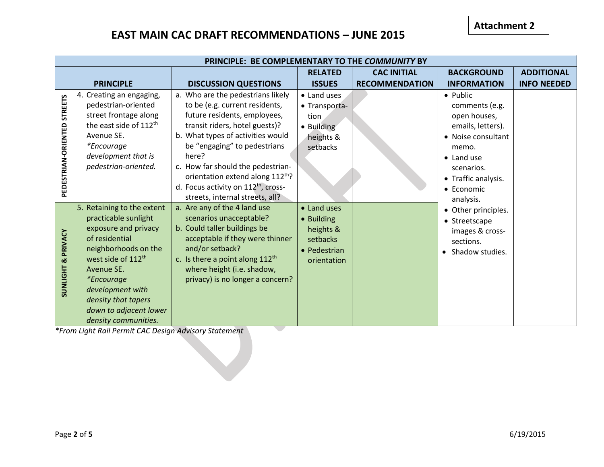# **EAST MAIN CAC DRAFT RECOMMENDATIONS – JUNE 2015**

|                                       | PRINCIPLE: BE COMPLEMENTARY TO THE COMMUNITY BY                                                                                                                                                                                                                                                                                                 |                                                                                                                                                                                                                                                                                                                                                                                   |                                                                                   |                       |                                                                                                                                                                                      |                    |  |
|---------------------------------------|-------------------------------------------------------------------------------------------------------------------------------------------------------------------------------------------------------------------------------------------------------------------------------------------------------------------------------------------------|-----------------------------------------------------------------------------------------------------------------------------------------------------------------------------------------------------------------------------------------------------------------------------------------------------------------------------------------------------------------------------------|-----------------------------------------------------------------------------------|-----------------------|--------------------------------------------------------------------------------------------------------------------------------------------------------------------------------------|--------------------|--|
|                                       |                                                                                                                                                                                                                                                                                                                                                 |                                                                                                                                                                                                                                                                                                                                                                                   | <b>RELATED</b>                                                                    | <b>CAC INITIAL</b>    | <b>BACKGROUND</b>                                                                                                                                                                    | <b>ADDITIONAL</b>  |  |
|                                       | <b>PRINCIPLE</b>                                                                                                                                                                                                                                                                                                                                | <b>DISCUSSION QUESTIONS</b>                                                                                                                                                                                                                                                                                                                                                       | <b>ISSUES</b>                                                                     | <b>RECOMMENDATION</b> | <b>INFORMATION</b>                                                                                                                                                                   | <b>INFO NEEDED</b> |  |
| <b>STREETS</b><br>PEDESTRIAN-ORIENTED | 4. Creating an engaging,<br>pedestrian-oriented<br>street frontage along<br>the east side of 112th<br>Avenue SE.<br><i>*Encourage</i><br>development that is<br>pedestrian-oriented.                                                                                                                                                            | a. Who are the pedestrians likely<br>to be (e.g. current residents,<br>future residents, employees,<br>transit riders, hotel guests)?<br>b. What types of activities would<br>be "engaging" to pedestrians<br>here?<br>c. How far should the pedestrian-<br>orientation extend along 112th?<br>d. Focus activity on 112 <sup>th</sup> , cross-<br>streets, internal streets, all? | • Land uses<br>• Transporta-<br>tion<br>· Building<br>heights &<br>setbacks       |                       | • Public<br>comments (e.g.<br>open houses,<br>emails, letters).<br>• Noise consultant<br>memo.<br>• Land use<br>scenarios.<br>• Traffic analysis.<br>$\bullet$ Economic<br>analysis. |                    |  |
| PRIVACY<br>×<br><b>SUNLIGHT</b>       | 5. Retaining to the extent<br>practicable sunlight<br>exposure and privacy<br>of residential<br>neighborhoods on the<br>west side of 112 <sup>th</sup><br>Avenue SE.<br><i>*Encourage</i><br>development with<br>density that tapers<br>down to adjacent lower<br>density communities.<br>*From Light Pail Permit CAC Design Advisory Statement | a. Are any of the 4 land use<br>scenarios unacceptable?<br>b. Could taller buildings be<br>acceptable if they were thinner<br>and/or setback?<br>c. Is there a point along $112^{th}$<br>where height (i.e. shadow,<br>privacy) is no longer a concern?                                                                                                                           | • Land uses<br>• Building<br>heights &<br>setbacks<br>• Pedestrian<br>orientation |                       | • Other principles.<br>• Streetscape<br>images & cross-<br>sections.<br>Shadow studies.                                                                                              |                    |  |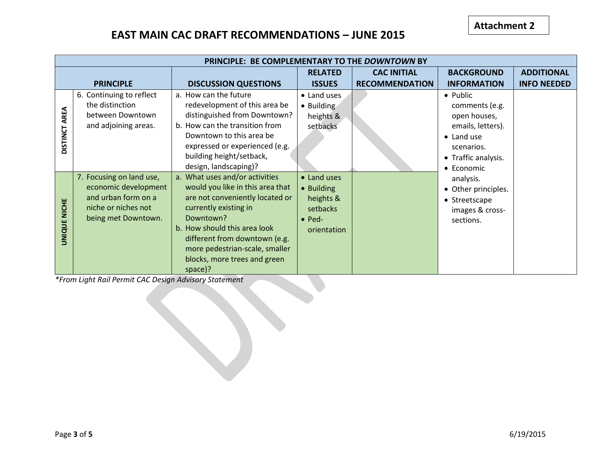# **EAST MAIN CAC DRAFT RECOMMENDATIONS – JUNE 2015**

|                               | PRINCIPLE: BE COMPLEMENTARY TO THE DOWNTOWN BY                                                                        |                                                                                                                                                                                                                                                                                           |                                                                                     |                       |                                                                                                                                          |                    |  |  |
|-------------------------------|-----------------------------------------------------------------------------------------------------------------------|-------------------------------------------------------------------------------------------------------------------------------------------------------------------------------------------------------------------------------------------------------------------------------------------|-------------------------------------------------------------------------------------|-----------------------|------------------------------------------------------------------------------------------------------------------------------------------|--------------------|--|--|
|                               |                                                                                                                       |                                                                                                                                                                                                                                                                                           | <b>RELATED</b>                                                                      | <b>CAC INITIAL</b>    | <b>BACKGROUND</b>                                                                                                                        | <b>ADDITIONAL</b>  |  |  |
|                               | <b>PRINCIPLE</b>                                                                                                      | <b>DISCUSSION QUESTIONS</b>                                                                                                                                                                                                                                                               | <b>ISSUES</b>                                                                       | <b>RECOMMENDATION</b> | <b>INFORMATION</b>                                                                                                                       | <b>INFO NEEDED</b> |  |  |
| AREA<br><b>DISTINCT</b>       | 6. Continuing to reflect<br>the distinction<br>between Downtown<br>and adjoining areas.                               | a. How can the future<br>redevelopment of this area be<br>distinguished from Downtown?<br>b. How can the transition from<br>Downtown to this area be<br>expressed or experienced (e.g.<br>building height/setback,<br>design, landscaping)?                                               | • Land uses<br>• Building<br>heights &<br>setbacks                                  |                       | • Public<br>comments (e.g.<br>open houses,<br>emails, letters).<br>$\bullet$ Land use<br>scenarios.<br>• Traffic analysis.<br>• Economic |                    |  |  |
| <b>NICHE</b><br><b>UNIQUE</b> | 7. Focusing on land use,<br>economic development<br>and urban form on a<br>niche or niches not<br>being met Downtown. | a. What uses and/or activities<br>would you like in this area that<br>are not conveniently located or<br>currently existing in<br>Downtown?<br>b. How should this area look<br>different from downtown (e.g.<br>more pedestrian-scale, smaller<br>blocks, more trees and green<br>space)? | • Land uses<br>• Building<br>heights &<br>setbacks<br>$\bullet$ Ped-<br>orientation |                       | analysis.<br>• Other principles.<br>• Streetscape<br>images & cross-<br>sections.                                                        |                    |  |  |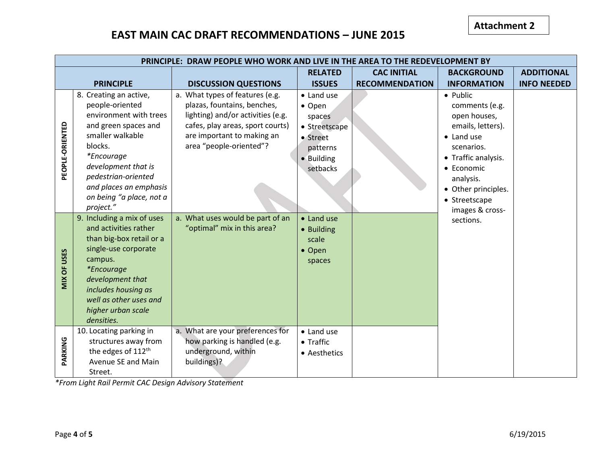### **EAST MAIN CAC DRAFT RECOMMENDATIONS – JUNE 2015**

|                 | PRINCIPLE: DRAW PEOPLE WHO WORK AND LIVE IN THE AREA TO THE REDEVELOPMENT BY                                                                                                                                                                                  |                                                                                                                                                                                                  |                                                                                                   |                       |                                                                                                                                                                                               |                    |  |
|-----------------|---------------------------------------------------------------------------------------------------------------------------------------------------------------------------------------------------------------------------------------------------------------|--------------------------------------------------------------------------------------------------------------------------------------------------------------------------------------------------|---------------------------------------------------------------------------------------------------|-----------------------|-----------------------------------------------------------------------------------------------------------------------------------------------------------------------------------------------|--------------------|--|
|                 |                                                                                                                                                                                                                                                               |                                                                                                                                                                                                  | <b>RELATED</b>                                                                                    | <b>CAC INITIAL</b>    | <b>BACKGROUND</b>                                                                                                                                                                             | <b>ADDITIONAL</b>  |  |
|                 | <b>PRINCIPLE</b>                                                                                                                                                                                                                                              | <b>DISCUSSION QUESTIONS</b>                                                                                                                                                                      | <b>ISSUES</b>                                                                                     | <b>RECOMMENDATION</b> | <b>INFORMATION</b>                                                                                                                                                                            | <b>INFO NEEDED</b> |  |
| PEOPLE-ORIENTED | 8. Creating an active,<br>people-oriented<br>environment with trees<br>and green spaces and<br>smaller walkable<br>blocks.<br>*Encourage<br>development that is<br>pedestrian-oriented<br>and places an emphasis<br>on being "a place, not a                  | a. What types of features (e.g.<br>plazas, fountains, benches,<br>lighting) and/or activities (e.g.<br>cafes, play areas, sport courts)<br>are important to making an<br>area "people-oriented"? | • Land use<br>• Open<br>spaces<br>• Streetscape<br>• Street<br>patterns<br>• Building<br>setbacks |                       | • Public<br>comments (e.g.<br>open houses,<br>emails, letters).<br>$\bullet$ Land use<br>scenarios.<br>• Traffic analysis.<br>• Economic<br>analysis.<br>• Other principles.<br>• Streetscape |                    |  |
| MIX OF USES     | project."<br>9. Including a mix of uses<br>and activities rather<br>than big-box retail or a<br>single-use corporate<br>campus.<br><i>*Encourage</i><br>development that<br>includes housing as<br>well as other uses and<br>higher urban scale<br>densities. | a. What uses would be part of an<br>"optimal" mix in this area?                                                                                                                                  | • Land use<br>• Building<br>scale<br>• Open<br>spaces                                             |                       | images & cross-<br>sections.                                                                                                                                                                  |                    |  |
| PARKING         | 10. Locating parking in<br>structures away from<br>the edges of 112 <sup>th</sup><br>Avenue SE and Main<br>Street.                                                                                                                                            | a. What are your preferences for<br>how parking is handled (e.g.<br>underground, within<br>buildings)?                                                                                           | • Land use<br>• Traffic<br>• Aesthetics                                                           |                       |                                                                                                                                                                                               |                    |  |